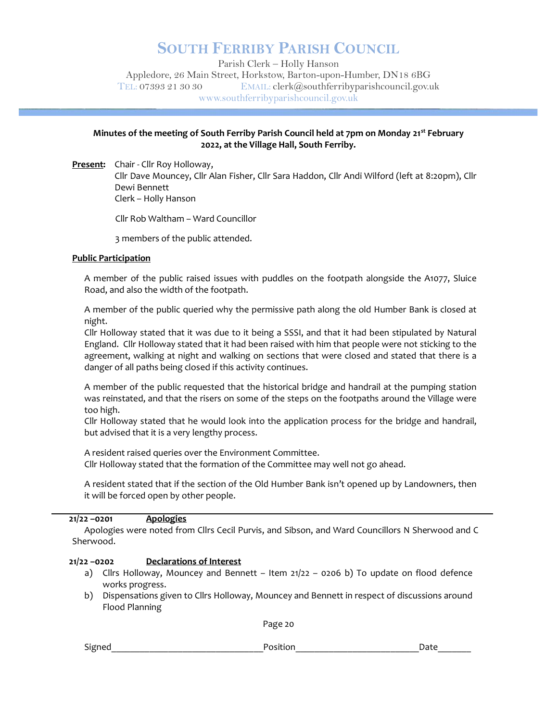## SOUTH FERRIBY PARISH COUNCIL

Parish Clerk – Holly Hanson Appledore, 26 Main Street, Horkstow, Barton-upon-Humber, DN18 6BG TEL: 07393 21 30 30 EMAIL: clerk@southferribyparishcouncil.gov.uk www.southferribyparishcouncil.gov.uk

## Minutes of the meeting of South Ferriby Parish Council held at 7pm on Monday 21<sup>st</sup> February 2022, at the Village Hall, South Ferriby.

Present: Chair - Cllr Roy Holloway, Cllr Dave Mouncey, Cllr Alan Fisher, Cllr Sara Haddon, Cllr Andi Wilford (left at 8:20pm), Cllr Dewi Bennett Clerk – Holly Hanson

Cllr Rob Waltham – Ward Councillor

3 members of the public attended.

## Public Participation

A member of the public raised issues with puddles on the footpath alongside the A1077, Sluice Road, and also the width of the footpath.

A member of the public queried why the permissive path along the old Humber Bank is closed at night.

Cllr Holloway stated that it was due to it being a SSSI, and that it had been stipulated by Natural England. Cllr Holloway stated that it had been raised with him that people were not sticking to the agreement, walking at night and walking on sections that were closed and stated that there is a danger of all paths being closed if this activity continues.

A member of the public requested that the historical bridge and handrail at the pumping station was reinstated, and that the risers on some of the steps on the footpaths around the Village were too high.

Cllr Holloway stated that he would look into the application process for the bridge and handrail, but advised that it is a very lengthy process.

A resident raised queries over the Environment Committee. Cllr Holloway stated that the formation of the Committee may well not go ahead.

A resident stated that if the section of the Old Humber Bank isn't opened up by Landowners, then it will be forced open by other people.

#### 21/22 –0201 Apologies

Apologies were noted from Cllrs Cecil Purvis, and Sibson, and Ward Councillors N Sherwood and C Sherwood.

#### 21/22 –0202 Declarations of Interest

- a) Cllrs Holloway, Mouncey and Bennett Item 21/22 0206 b) To update on flood defence works progress.
- b) Dispensations given to Cllrs Holloway, Mouncey and Bennett in respect of discussions around Flood Planning

Page 20

Signed examples a set of the Position of the Contract of the Date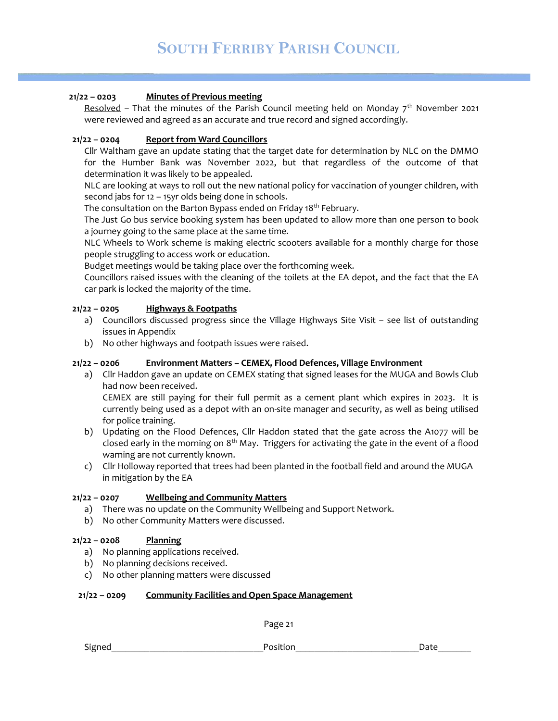## 21/22 – 0203 Minutes of Previous meeting

Resolved – That the minutes of the Parish Council meeting held on Monday  $7<sup>th</sup>$  November 2021 were reviewed and agreed as an accurate and true record and signed accordingly.

## 21/22 - 0204 Report from Ward Councillors

Cllr Waltham gave an update stating that the target date for determination by NLC on the DMMO for the Humber Bank was November 2022, but that regardless of the outcome of that determination it was likely to be appealed.

NLC are looking at ways to roll out the new national policy for vaccination of younger children, with second jabs for 12 – 15yr olds being done in schools.

The consultation on the Barton Bypass ended on Friday 18<sup>th</sup> February.

The Just Go bus service booking system has been updated to allow more than one person to book a journey going to the same place at the same time.

NLC Wheels to Work scheme is making electric scooters available for a monthly charge for those people struggling to access work or education.

Budget meetings would be taking place over the forthcoming week.

Councillors raised issues with the cleaning of the toilets at the EA depot, and the fact that the EA car park is locked the majority of the time.

## $21/22 - 0205$  Highways & Footpaths

- a) Councillors discussed progress since the Village Highways Site Visit see list of outstanding issues in Appendix
- b) No other highways and footpath issues were raised.

#### 21/22 - 0206 Environment Matters - CEMEX, Flood Defences, Village Environment

a) Cllr Haddon gave an update on CEMEX stating that signed leases for the MUGA and Bowls Club had now been received.

CEMEX are still paying for their full permit as a cement plant which expires in 2023. It is currently being used as a depot with an on-site manager and security, as well as being utilised for police training.

- b) Updating on the Flood Defences, Cllr Haddon stated that the gate across the A1077 will be closed early in the morning on 8<sup>th</sup> May. Triggers for activating the gate in the event of a flood warning are not currently known.
- c) Cllr Holloway reported that trees had been planted in the football field and around the MUGA in mitigation by the EA

#### 21/22 – 0207 Wellbeing and Community Matters

- a) There was no update on the Community Wellbeing and Support Network.
- b) No other Community Matters were discussed.

#### $21/22 - 0208$  Planning

- a) No planning applications received.
- b) No planning decisions received.
- c) No other planning matters were discussed

#### 21/22 – 0209 Community Facilities and Open Space Management

Page 21

Signed and the state of the state of the state of the state of the state of the state of the state of the state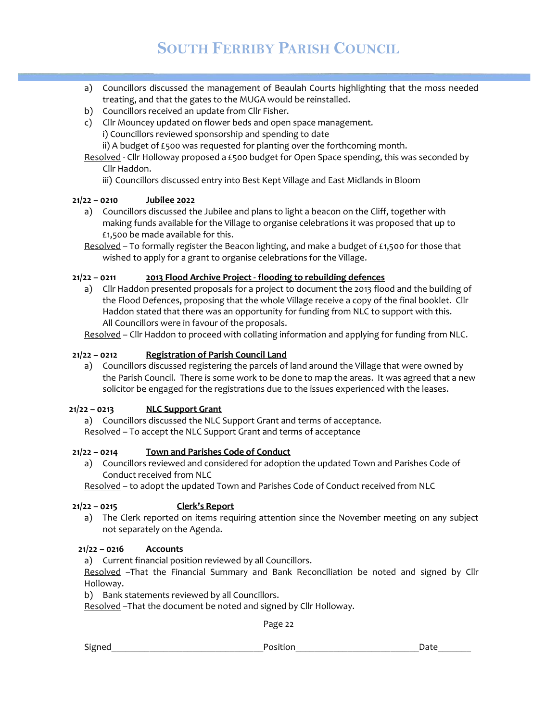# SOUTH FERRIBY PARISH COUNCIL

- a) Councillors discussed the management of Beaulah Courts highlighting that the moss needed treating, and that the gates to the MUGA would be reinstalled.
- b) Councillors received an update from Cllr Fisher.
- c) Cllr Mouncey updated on flower beds and open space management. i) Councillors reviewed sponsorship and spending to date ii) A budget of £500 was requested for planting over the forthcoming month.

Resolved - Cllr Holloway proposed a £500 budget for Open Space spending, this was seconded by Cllr Haddon.

iii) Councillors discussed entry into Best Kept Village and East Midlands in Bloom

## 21/22 – 0210 Jubilee 2022

a) Councillors discussed the Jubilee and plans to light a beacon on the Cliff, together with making funds available for the Village to organise celebrations it was proposed that up to £1,500 be made available for this.

Resolved – To formally register the Beacon lighting, and make a budget of £1,500 for those that wished to apply for a grant to organise celebrations for the Village.

## 21/22 - 0211 2013 Flood Archive Project - flooding to rebuilding defences

a) Cllr Haddon presented proposals for a project to document the 2013 flood and the building of the Flood Defences, proposing that the whole Village receive a copy of the final booklet. Cllr Haddon stated that there was an opportunity for funding from NLC to support with this. All Councillors were in favour of the proposals.

Resolved – Cllr Haddon to proceed with collating information and applying for funding from NLC.

## 21/22 – 0212 Registration of Parish Council Land

a) Councillors discussed registering the parcels of land around the Village that were owned by the Parish Council. There is some work to be done to map the areas. It was agreed that a new solicitor be engaged for the registrations due to the issues experienced with the leases.

## 21/22 – 0213 NLC Support Grant

a) Councillors discussed the NLC Support Grant and terms of acceptance.

Resolved – To accept the NLC Support Grant and terms of acceptance

## 21/22 – 0214 Town and Parishes Code of Conduct

a) Councillors reviewed and considered for adoption the updated Town and Parishes Code of Conduct received from NLC

Resolved – to adopt the updated Town and Parishes Code of Conduct received from NLC

#### 21/22 – 0215 Clerk's Report

a) The Clerk reported on items requiring attention since the November meeting on any subject not separately on the Agenda.

#### $21/22 - 0216$  Accounts

a) Current financial position reviewed by all Councillors.

Resolved –That the Financial Summary and Bank Reconciliation be noted and signed by Cllr Holloway.

b) Bank statements reviewed by all Councillors.

Resolved –That the document be noted and signed by Cllr Holloway.

Page 22

Signed **Example 2** and the set of the Position of the Second Date of the Second Second Position of the Second Second Second Second Second Second Second Second Second Second Second Second Second Second Second Second Second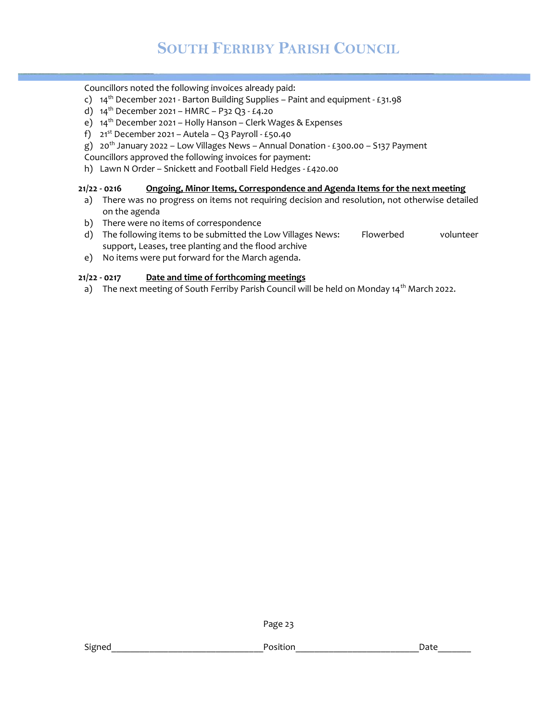# SOUTH FERRIBY PARISH COUNCIL

## Councillors noted the following invoices already paid:

- c)  $14^{th}$  December 2021 Barton Building Supplies Paint and equipment £31.98
- d)  $14^{th}$  December 2021 HMRC P32 Q3 £4.20
- e) 14th December 2021 Holly Hanson Clerk Wages & Expenses
- f)  $21^{st}$  December 2021 Autela Q3 Payroll £50.40
- g)  $20^{th}$  January 2022 Low Villages News Annual Donation £300.00 S137 Payment

Councillors approved the following invoices for payment:

h) Lawn N Order – Snickett and Football Field Hedges - £420.00

## 21/22 - 0216 Ongoing, Minor Items, Correspondence and Agenda Items for the next meeting

- a) There was no progress on items not requiring decision and resolution, not otherwise detailed on the agenda
- b) There were no items of correspondence
- d) The following items to be submitted the Low Villages News: Flowerbed volunteer support, Leases, tree planting and the flood archive
- e) No items were put forward for the March agenda.

## 21/22 - 0217 Date and time of forthcoming meetings

a) The next meeting of South Ferriby Parish Council will be held on Monday 14<sup>th</sup> March 2022.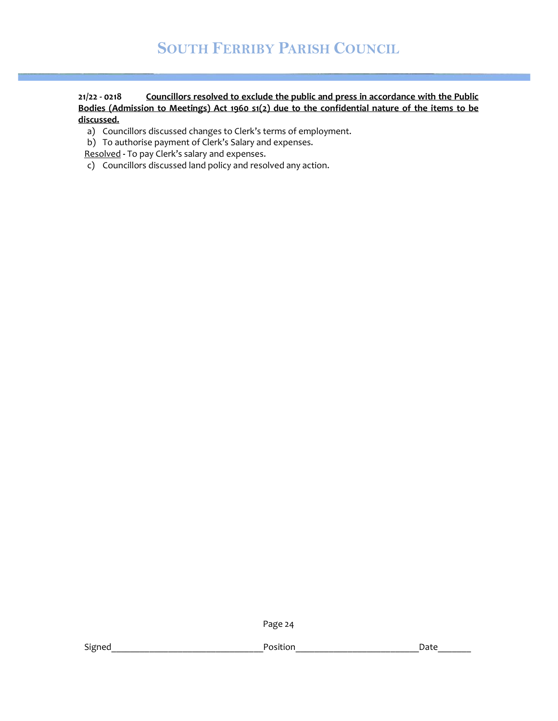## 21/22 - 0218 Councillors resolved to exclude the public and press in accordance with the Public Bodies (Admission to Meetings) Act 1960 s1(2) due to the confidential nature of the items to be discussed.

- a) Councillors discussed changes to Clerk's terms of employment.
- b) To authorise payment of Clerk's Salary and expenses.

Resolved - To pay Clerk's salary and expenses.

c) Councillors discussed land policy and resolved any action.